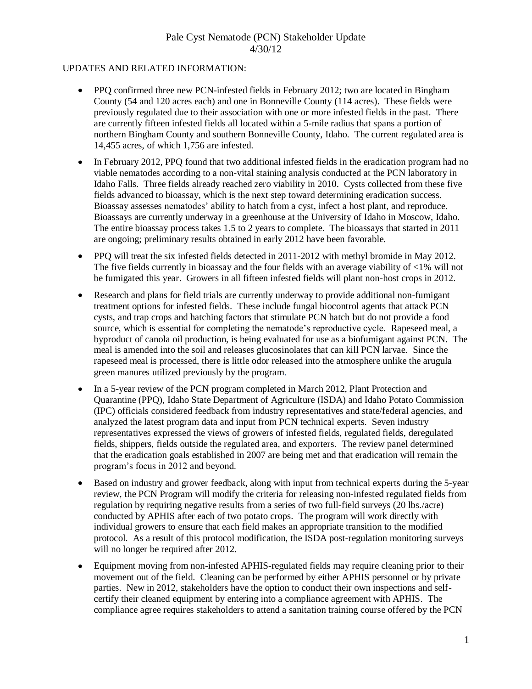#### UPDATES AND RELATED INFORMATION:

- $\bullet$ PPQ confirmed three new PCN-infested fields in February 2012; two are located in Bingham County (54 and 120 acres each) and one in Bonneville County (114 acres). These fields were previously regulated due to their association with one or more infested fields in the past. There are currently fifteen infested fields all located within a 5-mile radius that spans a portion of northern Bingham County and southern Bonneville County, Idaho. The current regulated area is 14,455 acres, of which 1,756 are infested.
- $\bullet$ In February 2012, PPQ found that two additional infested fields in the eradication program had no viable nematodes according to a non-vital staining analysis conducted at the PCN laboratory in Idaho Falls. Three fields already reached zero viability in 2010. Cysts collected from these five fields advanced to bioassay, which is the next step toward determining eradication success. Bioassay assesses nematodes' ability to hatch from a cyst, infect a host plant, and reproduce. Bioassays are currently underway in a greenhouse at the University of Idaho in Moscow, Idaho. The entire bioassay process takes 1.5 to 2 years to complete. The bioassays that started in 2011 are ongoing; preliminary results obtained in early 2012 have been favorable.
- PPQ will treat the six infested fields detected in 2011-2012 with methyl bromide in May 2012.  $\bullet$ The five fields currently in bioassay and the four fields with an average viability of <1% will not be fumigated this year. Growers in all fifteen infested fields will plant non-host crops in 2012.
- Research and plans for field trials are currently underway to provide additional non-fumigant  $\bullet$ treatment options for infested fields. These include fungal biocontrol agents that attack PCN cysts, and trap crops and hatching factors that stimulate PCN hatch but do not provide a food source, which is essential for completing the nematode's reproductive cycle. Rapeseed meal, a byproduct of canola oil production, is being evaluated for use as a biofumigant against PCN. The meal is amended into the soil and releases glucosinolates that can kill PCN larvae. Since the rapeseed meal is processed, there is little odor released into the atmosphere unlike the arugula green manures utilized previously by the program.
- In a 5-year review of the PCN program completed in March 2012, Plant Protection and Quarantine (PPQ), Idaho State Department of Agriculture (ISDA) and Idaho Potato Commission (IPC) officials considered feedback from industry representatives and state/federal agencies, and analyzed the latest program data and input from PCN technical experts. Seven industry representatives expressed the views of growers of infested fields, regulated fields, deregulated fields, shippers, fields outside the regulated area, and exporters. The review panel determined that the eradication goals established in 2007 are being met and that eradication will remain the program's focus in 2012 and beyond.
- Based on industry and grower feedback, along with input from technical experts during the 5-year  $\bullet$ review, the PCN Program will modify the criteria for releasing non-infested regulated fields from regulation by requiring negative results from a series of two full-field surveys (20 lbs./acre) conducted by APHIS after each of two potato crops. The program will work directly with individual growers to ensure that each field makes an appropriate transition to the modified protocol. As a result of this protocol modification, the ISDA post-regulation monitoring surveys will no longer be required after 2012.
- Equipment moving from non-infested APHIS-regulated fields may require cleaning prior to their movement out of the field. Cleaning can be performed by either APHIS personnel or by private parties. New in 2012, stakeholders have the option to conduct their own inspections and selfcertify their cleaned equipment by entering into a compliance agreement with APHIS. The compliance agree requires stakeholders to attend a sanitation training course offered by the PCN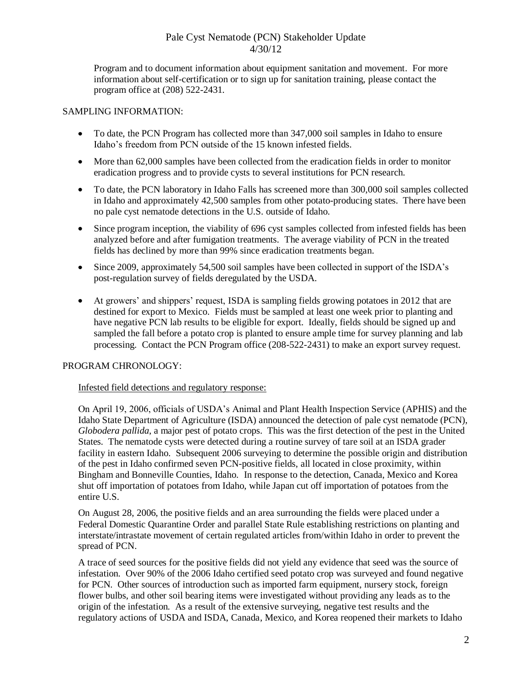Program and to document information about equipment sanitation and movement. For more information about self-certification or to sign up for sanitation training, please contact the program office at (208) 522-2431.

### SAMPLING INFORMATION:

- To date, the PCN Program has collected more than 347,000 soil samples in Idaho to ensure Idaho's freedom from PCN outside of the 15 known infested fields.
- More than 62,000 samples have been collected from the eradication fields in order to monitor eradication progress and to provide cysts to several institutions for PCN research.
- To date, the PCN laboratory in Idaho Falls has screened more than 300,000 soil samples collected in Idaho and approximately 42,500 samples from other potato-producing states. There have been no pale cyst nematode detections in the U.S. outside of Idaho.
- Since program inception, the viability of 696 cyst samples collected from infested fields has been analyzed before and after fumigation treatments. The average viability of PCN in the treated fields has declined by more than 99% since eradication treatments began.
- Since 2009, approximately 54,500 soil samples have been collected in support of the ISDA's post-regulation survey of fields deregulated by the USDA.
- At growers' and shippers' request, ISDA is sampling fields growing potatoes in 2012 that are destined for export to Mexico. Fields must be sampled at least one week prior to planting and have negative PCN lab results to be eligible for export. Ideally, fields should be signed up and sampled the fall before a potato crop is planted to ensure ample time for survey planning and lab processing. Contact the PCN Program office (208-522-2431) to make an export survey request.

## PROGRAM CHRONOLOGY:

#### Infested field detections and regulatory response:

On April 19, 2006, officials of USDA's Animal and Plant Health Inspection Service (APHIS) and the Idaho State Department of Agriculture (ISDA) announced the detection of pale cyst nematode (PCN), *Globodera pallida*, a major pest of potato crops. This was the first detection of the pest in the United States. The nematode cysts were detected during a routine survey of tare soil at an ISDA grader facility in eastern Idaho. Subsequent 2006 surveying to determine the possible origin and distribution of the pest in Idaho confirmed seven PCN-positive fields, all located in close proximity, within Bingham and Bonneville Counties, Idaho. In response to the detection, Canada, Mexico and Korea shut off importation of potatoes from Idaho, while Japan cut off importation of potatoes from the entire U.S.

On August 28, 2006, the positive fields and an area surrounding the fields were placed under a Federal Domestic Quarantine Order and parallel State Rule establishing restrictions on planting and interstate/intrastate movement of certain regulated articles from/within Idaho in order to prevent the spread of PCN.

A trace of seed sources for the positive fields did not yield any evidence that seed was the source of infestation. Over 90% of the 2006 Idaho certified seed potato crop was surveyed and found negative for PCN. Other sources of introduction such as imported farm equipment, nursery stock, foreign flower bulbs, and other soil bearing items were investigated without providing any leads as to the origin of the infestation. As a result of the extensive surveying, negative test results and the regulatory actions of USDA and ISDA, Canada, Mexico, and Korea reopened their markets to Idaho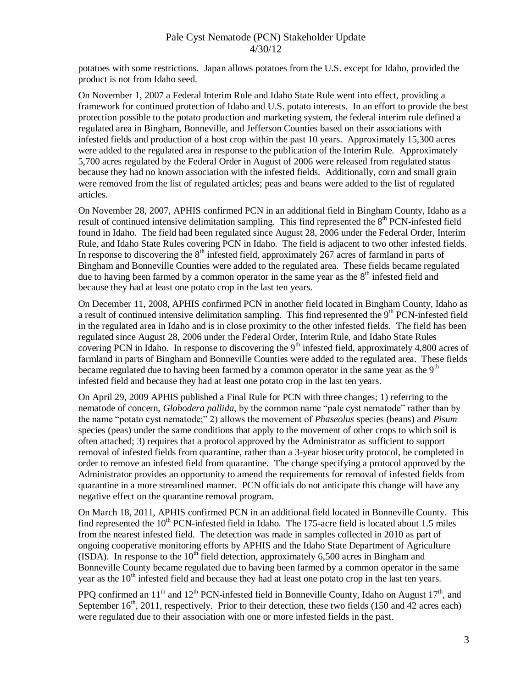potatoes with some restrictions. Japan allows potatoes from the U.S. except for Idaho, provided the product is not from Idaho seed.

On November 1, 2007 a Federal Interim Rule and Idaho State Rule went into effect, providing a framework for continued protection of Idaho and U.S. potato interests. In an effort to provide the best protection possible to the potato production and marketing system, the federal interim rule defined a regulated area in Bingham, Bonneville, and Jefferson Counties based on their associations with infested fields and production of a host crop within the past 10 years. Approximately 15,300 acres were added to the regulated area in response to the publication of the Interim Rule. Approximately 5,700 acres regulated by the Federal Order in August of 2006 were released from regulated status because they had no known association with the infested fields. Additionally, corn and small grain were removed from the list of regulated articles; peas and beans were added to the list of regulated articles.

On November 28, 2007, APHIS confirmed PCN in an additional field in Bingham County, Idaho as a result of continued intensive delimitation sampling. This find represented the 8<sup>th</sup> PCN-infested field found in Idaho. The field had been regulated since August 28, 2006 under the Federal Order, Interim Rule, and Idaho State Rules covering PCN in Idaho. The field is adjacent to two other infested fields. In response to discovering the  $8<sup>th</sup>$  infested field, approximately 267 acres of farmland in parts of Bingham and Bonneville Counties were added to the regulated area. These fields became regulated due to having been farmed by a common operator in the same year as the  $8<sup>th</sup>$  infested field and because they had at least one potato crop in the last ten years.

On December 11, 2008, APHIS confirmed PCN in another field located in Bingham County, Idaho as a result of continued intensive delimitation sampling. This find represented the 9<sup>th</sup> PCN-infested field in the regulated area in Idaho and is in close proximity to the other infested fields. The field has been regulated since August 28, 2006 under the Federal Order, Interim Rule, and Idaho State Rules covering PCN in Idaho. In response to discovering the  $9<sup>th</sup>$  infested field, approximately 4,800 acres of farmland in parts of Bingham and Bonneville Counties were added to the regulated area. These fields became regulated due to having been farmed by a common operator in the same year as the  $9<sup>th</sup>$ infested field and because they had at least one potato crop in the last ten years.

On April 29, 2009 APHIS published a Final Rule for PCN with three changes; 1) referring to the nematode of concern, *Globodera pallida*, by the common name "pale cyst nematode" rather than by the name "potato cyst nematode;" 2) allows the movement of *Phaseolus* species (beans) and *Pisum* species (peas) under the same conditions that apply to the movement of other crops to which soil is often attached; 3) requires that a protocol approved by the Administrator as sufficient to support removal of infested fields from quarantine, rather than a 3-year biosecurity protocol, be completed in order to remove an infested field from quarantine. The change specifying a protocol approved by the Administrator provides an opportunity to amend the requirements for removal of infested fields from quarantine in a more streamlined manner. PCN officials do not anticipate this change will have any negative effect on the quarantine removal program.

On March 18, 2011, APHIS confirmed PCN in an additional field located in Bonneville County. This find represented the  $10<sup>th</sup>$  PCN-infested field in Idaho. The 175-acre field is located about 1.5 miles from the nearest infested field. The detection was made in samples collected in 2010 as part of ongoing cooperative monitoring efforts by APHIS and the Idaho State Department of Agriculture (ISDA). In response to the  $10^{th}$  field detection, approximately 6,500 acres in Bingham and Bonneville County became regulated due to having been farmed by a common operator in the same year as the  $10<sup>th</sup>$  infested field and because they had at least one potato crop in the last ten years.

PPO confirmed an 11<sup>th</sup> and 12<sup>th</sup> PCN-infested field in Bonneville County, Idaho on August 17<sup>th</sup>, and September  $16<sup>th</sup>$ , 2011, respectively. Prior to their detection, these two fields (150 and 42 acres each) were regulated due to their association with one or more infested fields in the past.